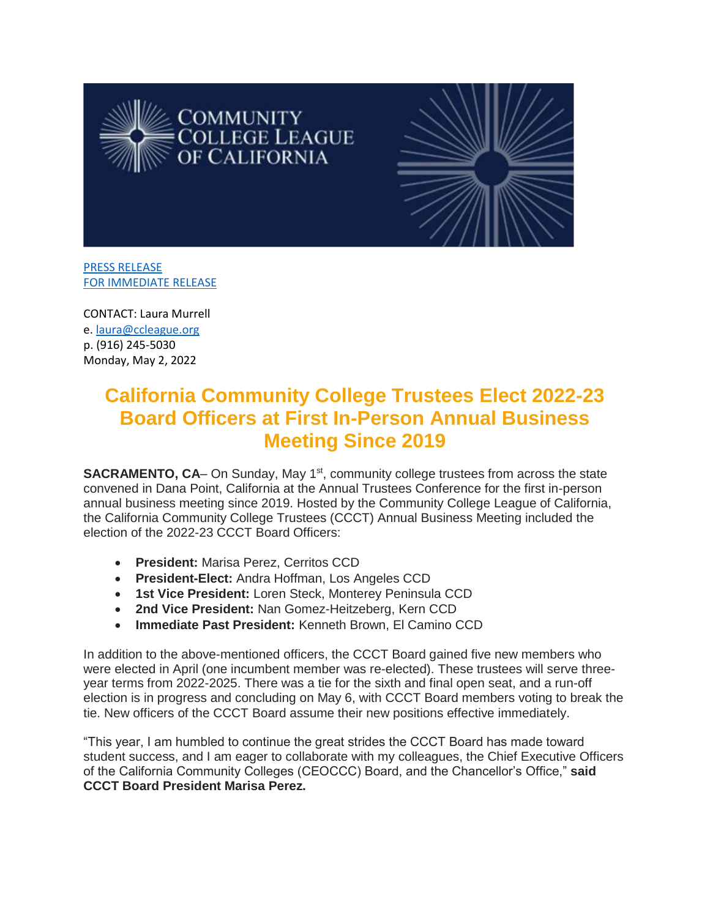



[PRESS RELEASE](https://ccleague.org/about-us/press-releases-statements/california-community-college-trustees-elect-2022-23-board-officers) [FOR IMMEDIATE RELEASE](https://ccleague.org/about-us/press-releases-statements/california-community-college-trustees-elect-2022-23-board-officers)

CONTACT: Laura Murrell e[. laura@ccleague.org](mailto:laura@ccleague.org) p. (916) 245-5030 Monday, May 2, 2022

## **California Community College Trustees Elect 2022-23 Board Officers at First In-Person Annual Business Meeting Since 2019**

**SACRAMENTO, CA**– On Sunday, May 1<sup>st</sup>, community college trustees from across the state convened in Dana Point, California at the Annual Trustees Conference for the first in-person annual business meeting since 2019. Hosted by the Community College League of California, the California Community College Trustees (CCCT) Annual Business Meeting included the election of the 2022-23 CCCT Board Officers:

- **President:** Marisa Perez, Cerritos CCD
- **President-Elect:** Andra Hoffman, Los Angeles CCD
- **1st Vice President:** Loren Steck, Monterey Peninsula CCD
- **2nd Vice President:** Nan Gomez-Heitzeberg, Kern CCD
- **Immediate Past President:** Kenneth Brown, El Camino CCD

In addition to the above-mentioned officers, the CCCT Board gained five new members who were elected in April (one incumbent member was re-elected). These trustees will serve threeyear terms from 2022-2025. There was a tie for the sixth and final open seat, and a run-off election is in progress and concluding on May 6, with CCCT Board members voting to break the tie. New officers of the CCCT Board assume their new positions effective immediately.

"This year, I am humbled to continue the great strides the CCCT Board has made toward student success, and I am eager to collaborate with my colleagues, the Chief Executive Officers of the California Community Colleges (CEOCCC) Board, and the Chancellor's Office," **said CCCT Board President Marisa Perez.**